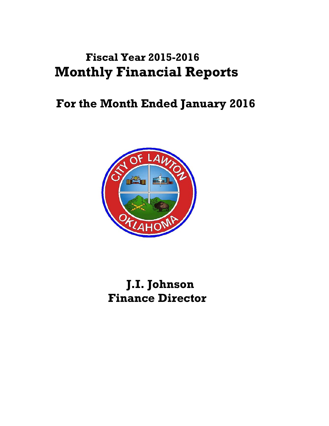# **Fiscal Year 2015-2016 Monthly Financial Reports**

# **For the Month Ended January 2016**



 **J.I. Johnson Finance Director**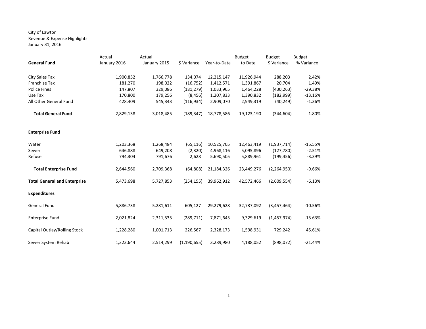## City of Lawton Revenue & Expense Highlights January 31, 2016

|                                     | Actual       | Actual       |               |              | <b>Budget</b> | <b>Budget</b> | <b>Budget</b> |
|-------------------------------------|--------------|--------------|---------------|--------------|---------------|---------------|---------------|
| <b>General Fund</b>                 | January 2016 | January 2015 | \$ Variance   | Year-to-Date | to Date       | \$ Variance   | % Variance    |
|                                     |              |              |               |              |               |               |               |
| City Sales Tax                      | 1,900,852    | 1,766,778    | 134,074       | 12,215,147   | 11,926,944    | 288,203       | 2.42%         |
| <b>Franchise Tax</b>                | 181,270      | 198,022      | (16, 752)     | 1,412,571    | 1,391,867     | 20,704        | 1.49%         |
| <b>Police Fines</b>                 | 147,807      | 329,086      | (181, 279)    | 1,033,965    | 1,464,228     | (430, 263)    | $-29.38%$     |
| Use Tax                             | 170,800      | 179,256      | (8, 456)      | 1,207,833    | 1,390,832     | (182,999)     | $-13.16%$     |
| All Other General Fund              | 428,409      | 545,343      | (116, 934)    | 2,909,070    | 2,949,319     | (40, 249)     | $-1.36%$      |
| <b>Total General Fund</b>           | 2,829,138    | 3,018,485    | (189, 347)    | 18,778,586   | 19,123,190    | (344, 604)    | $-1.80%$      |
| <b>Enterprise Fund</b>              |              |              |               |              |               |               |               |
| Water                               | 1,203,368    | 1,268,484    | (65, 116)     | 10,525,705   | 12,463,419    | (1,937,714)   | $-15.55%$     |
| Sewer                               | 646,888      | 649,208      | (2,320)       | 4,968,116    | 5,095,896     | (127, 780)    | $-2.51%$      |
| Refuse                              | 794,304      | 791,676      | 2,628         | 5,690,505    | 5,889,961     | (199, 456)    | $-3.39%$      |
|                                     |              |              |               |              |               |               |               |
| <b>Total Enterprise Fund</b>        | 2,644,560    | 2,709,368    | (64, 808)     | 21,184,326   | 23,449,276    | (2, 264, 950) | $-9.66%$      |
| <b>Total General and Enterprise</b> | 5,473,698    | 5,727,853    | (254, 155)    | 39,962,912   | 42,572,466    | (2,609,554)   | $-6.13%$      |
| <b>Expenditures</b>                 |              |              |               |              |               |               |               |
| <b>General Fund</b>                 | 5,886,738    | 5,281,611    | 605,127       | 29,279,628   | 32,737,092    | (3,457,464)   | $-10.56%$     |
| <b>Enterprise Fund</b>              | 2,021,824    | 2,311,535    | (289, 711)    | 7,871,645    | 9,329,619     | (1,457,974)   | $-15.63%$     |
| Capital Outlay/Rolling Stock        | 1,228,280    | 1,001,713    | 226,567       | 2,328,173    | 1,598,931     | 729,242       | 45.61%        |
| Sewer System Rehab                  | 1,323,644    | 2,514,299    | (1, 190, 655) | 3,289,980    | 4,188,052     | (898, 072)    | $-21.44%$     |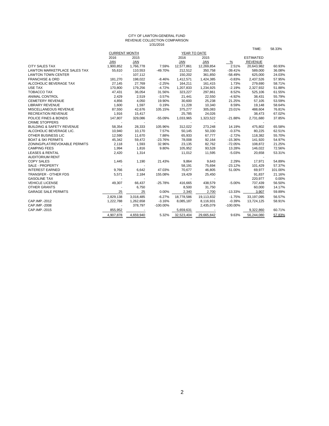#### CITY OF LAWTON-GENERAL FUND REVENUE COLLECTION COMPARISON 1/31/2016

|                                      |                          |                          |             |                          |                          |             | TIME:            | 58.33%  |
|--------------------------------------|--------------------------|--------------------------|-------------|--------------------------|--------------------------|-------------|------------------|---------|
|                                      | <b>CURRENT MONTH</b>     |                          |             | YEAR TO DATE             |                          |             |                  |         |
|                                      | 2016                     | 2015                     |             | 2016                     | 2015                     |             | <b>ESTIMATED</b> |         |
|                                      | <b>JAN</b>               | <b>JAN</b>               |             | <b>JAN</b>               | <b>JAN</b>               | $\%$        | <b>REVENUE</b>   |         |
| <b>CITY SALES TAX</b>                | 1,900,852                | 1,766,778                | 7.59%       | 12,577,861               | 12,269,854               | 2.51%       | 20,643,982       | 60.93%  |
| <b>LAWTON MARKETPLACE SALES TAX</b>  | 55,610                   | 110,553                  | -49.70%     | 212,512                  | 350,758                  | $-39.41%$   | 589,000          | 36.08%  |
| <b>LAWTON TOWN CENTER</b>            | $\overline{\phantom{a}}$ | 107,112                  |             | 150,202                  | 361,850                  | $-58.49%$   | 625,000          | 24.03%  |
| <b>FRANCHISE &amp; ORD</b>           | 181,270                  | 198,022                  | $-8.46%$    | 1,412,571                | 1,424,385                | $-0.83%$    | 2,437,526        | 57.95%  |
| ALCOHOLIC BEVERAGE TAX               | 27,145                   | 27,769                   | $-2.25%$    | 164,211                  | 161,415                  | 1.73%       | 279,690          | 58.71%  |
| <b>USE TAX</b>                       | 170,800                  | 179,256                  | $-4.72%$    | 1,207,833                | 1,234,925                | $-2.19%$    | 2,327,932        | 51.88%  |
| <b>TOBACCO TAX</b>                   | 47,431                   | 36,054                   | 31.56%      | 323,227                  | 297,861                  | 8.52%       | 525,106          | 61.55%  |
| <b>ANIMAL CONTROL</b>                | 2,429                    | 2,519                    | $-3.57%$    | 21,441                   | 22,550                   | $-4.92%$    | 38,431           | 55.79%  |
| <b>CEMETERY REVENUE</b>              | 4,856                    | 4,050                    | 19.90%      | 30,600                   | 25,238                   | 21.25%      | 57,105           | 53.59%  |
| <b>LIBRARY REVENUE</b>               | 1,600                    | 1,597                    | 0.19%       | 11,228                   | 10,340                   | 8.59%       | 19,148           | 58.64%  |
| MISCELLANEOUS REVENUE                | 87,550                   | 42,676                   | 105.15%     | 375,277                  | 305,083                  | 23.01%      | 488.604          | 76.81%  |
| <b>RECREATION REVENUE</b>            | 1,916                    | 15,417                   |             | 25,785                   | 24,026                   |             | 38,473           | 67.02%  |
| POLICE FINES & BONDS                 | 147,807                  | 329,086                  | $-55.09%$   | 1,033,965                | 1,323,522                | $-21.88%$   | 2,731,680        | 37.85%  |
| <b>CRIME STOPPERS</b>                | $\blacksquare$           |                          |             | $\overline{\phantom{a}}$ |                          |             |                  |         |
| <b>BUILDING &amp; SAFETY REVENUE</b> | 58,354                   | 28,333                   | 105.96%     | 312,022                  | 273,248                  | 14.19%      | 475,802          | 65.58%  |
| ALCOHOLIC BEVERAGE LIC.              | 10,940                   | 10,170                   | 7.57%       | 50,145                   | 50,330                   | $-0.37%$    | 80,225           | 62.51%  |
| OTHER BUSINESS LIC                   | 12,590                   | 11,670                   | 7.88%       | 65,933                   | 67.777                   | $-2.72%$    | 118,382          | 55.70%  |
| <b>BOAT &amp; SKI PERMITS</b>        | 45,342                   | 59,472                   | $-23.76%$   | 78,008                   | 92,164                   | $-15.36%$   | 141,920          | 54.97%  |
| ZONING/PLAT/REVOKABLE PERMITS        | 2,118                    | 1,593                    | 32.96%      | 23,135                   | 82,762                   | $-72.05%$   | 108,872          | 21.25%  |
| <b>CAMPING FEES</b>                  | 1,994                    | 1,816                    | 9.80%       | 105,952                  | 93,528                   | 13.28%      | 146,022          | 72.56%  |
| <b>LEASES &amp; RENTAL</b>           | 2,420                    | 1,314                    |             | 11,012                   | 11,595                   | $-5.03%$    | 20,658           | 53.31%  |
| <b>AUDITORIUM RENT</b>               |                          |                          |             |                          |                          |             |                  |         |
| <b>COPY SALES</b>                    | 1,445                    | 1,190                    | 21.43%      | 9,864                    | 9,643                    | 2.29%       | 17,971           | 54.89%  |
| SALE - PROPERTY                      | $\blacksquare$           | $\overline{\phantom{a}}$ |             | 58.191                   | 75.694                   | $-23.12%$   | 101.429          | 57.37%  |
| <b>INTEREST EARNED</b>               | 9,766                    | 6,642                    | 47.03%      | 70,677                   | 46,805                   | 51.00%      | 69,977           | 101.00% |
| <b>TRANSFER - OTHER FDS</b>          | 5,571                    | 2,184                    | 155.08%     | 19,429                   | 25,450                   |             | 91,837           | 21.16%  |
| <b>GASOLINE TAX</b>                  |                          | $\overline{\phantom{a}}$ |             | $\overline{\phantom{a}}$ | $\overline{\phantom{a}}$ |             | 220,977          | 0.00%   |
| <b>VEHICLE LICENSE</b>               | 49,307                   | 66,437                   | $-25.78%$   | 416,665                  | 438,579                  | $-5.00%$    | 737,439          | 56.50%  |
| OTHER GRANTS                         | $\overline{\phantom{a}}$ | 6,750                    |             | 8,500                    | 31,750                   |             | 60,000           | 14.17%  |
| <b>GARAGE SALE PERMITS</b>           | 25                       | 25                       | 0.00%       | 2,340                    | 2,700                    | $-13.33%$   | 3,907            | 59.89%  |
|                                      | 2,829,138                | 3,018,485                | $-6.27%$    | 18,778,586               | 19,113,832               | $-1.75%$    | 33,197,095       | 56.57%  |
| CAP.IMP.-2012                        | 1,222,788                | 1,262,658                | $-3.16%$    | 8,085,187                | 8,116,931                | $-0.39%$    | 13,724,125       | 58.91%  |
| CAP.IMP.-2008                        |                          | 378,797                  | $-100.00\%$ |                          | 2,435,079                | $-100.00\%$ |                  |         |
| CAP.IMP.-2015                        | 855,952                  |                          |             | 5,659,631                |                          |             | 9,322,860        | 60.71%  |
|                                      | 4.907.878                | 4.659.940                | 5.32%       | 32.523.404               | 29,665,842               | 9.63%       | 56.244.080       | 57.83%  |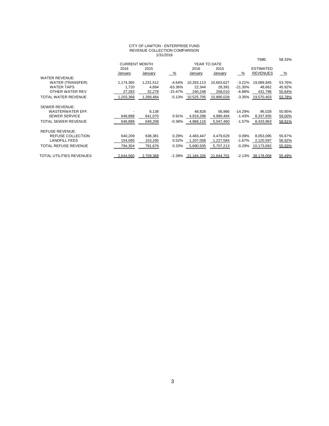#### CITY OF LAWTON - ENTERPRISE FUND REVENUE COLLECTION COMPARISON 1/31/2016

|                             |                      |           | .         |              |            |           |                  |        |
|-----------------------------|----------------------|-----------|-----------|--------------|------------|-----------|------------------|--------|
|                             |                      |           |           |              |            |           | TIME:            | 58.33% |
|                             | <b>CURRENT MONTH</b> |           |           | YEAR TO DATE |            |           |                  |        |
|                             | 2016                 | 2015      |           | 2016         | 2015       |           | <b>ESTIMATED</b> |        |
|                             | January              | January   | %         | January      | January    | %         | <b>REVENUES</b>  | %      |
| <b>WATER REVENUE:</b>       |                      |           |           |              |            |           |                  |        |
| <b>WATER (TRANSFER)</b>     | 1,174,365            | 1,231,512 | $-4.64%$  | 10,263,113   | 10,603,627 | $-3.21%$  | 19,089,945       | 53.76% |
| <b>WATER TAPS</b>           | 1,720                | 4.694     | $-63.36%$ | 22,344       | 28,391     | $-21.30%$ | 48,662           | 45.92% |
| OTHER WATER REV             | 27,283               | 32,278    | $-15.47%$ | 240,248      | 258,010    | $-6.88%$  | 431,796          | 55.64% |
| TOTAL WATER REVENUE         | 1,203,368            | 1,268,484 | $-5.13%$  | 10,525,705   | 10,890,028 | $-3.35%$  | 19,570,403       | 53.78% |
|                             |                      |           |           |              |            |           |                  |        |
| <b>SEWER REVENUE:</b>       |                      |           |           |              |            |           |                  |        |
| WASTERWATER EFF.            |                      | 8,138     |           | 48,828       | 56,966     | $-14.29%$ | 96,028           | 50.85% |
| <b>SEWER SERVICE</b>        | 646,888              | 641,070   | 0.91%     | 4,919,288    | 4,990,494  | $-1.43%$  | 8,337,935        | 59.00% |
| <b>TOTAL SEWER REVENUE</b>  | 646,888              | 649,208   | $-0.36%$  | 4,968,116    | 5,047,460  | $-1.57%$  | 8,433,963        | 58.91% |
|                             |                      |           |           |              |            |           |                  |        |
| <b>REFUSE REVENUE:</b>      |                      |           |           |              |            |           |                  |        |
| REFUSE COLLECTION           | 640,209              | 638,381   | 0.29%     | 4,483,447    | 4,479,629  | 0.09%     | 8,053,095        | 55.67% |
| <b>LANDFILL FEES</b>        | 154,095              | 153,295   | 0.52%     | 1,207,058    | 1,227,584  | $-1.67%$  | 2,120,597        | 56.92% |
| <b>TOTAL REFUSE REVENUE</b> | 794.304              | 791,676   | 0.33%     | 5,690,505    | 5,707,213  | $-0.29%$  | 10,173,692       | 55.93% |
|                             |                      |           |           |              |            |           |                  |        |
| TOTAL UTILITIES REVENUES    | 2.644.560            | 2.709.368 | -2.39%    | 21.184.326   | 21.644.701 | $-2.13%$  | 38.178.058       | 55.49% |
|                             |                      |           |           |              |            |           |                  |        |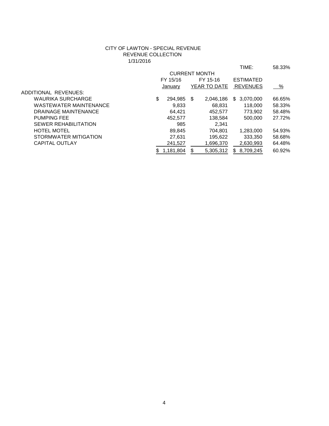## CITY OF LAWTON - SPECIAL REVENUE REVENUE COLLECTION 1/31/2016

|                               |                |                      | TIME:            | 58.33% |
|-------------------------------|----------------|----------------------|------------------|--------|
|                               |                | <b>CURRENT MONTH</b> |                  |        |
|                               | FY 15/16       | FY 15-16             | <b>ESTIMATED</b> |        |
|                               | January        | YEAR TO DATE         | <b>REVENUES</b>  | %      |
| ADDITIONAL REVENUES:          |                |                      |                  |        |
| <b>WAURIKA SURCHARGE</b>      | \$<br>294,985  | S<br>2,046,186       | 3,070,000<br>\$  | 66.65% |
| <b>WASTEWATER MAINTENANCE</b> | 9,833          | 68,831               | 118,000          | 58.33% |
| <b>DRAINAGE MAINTENANCE</b>   | 64.421         | 452.577              | 773.902          | 58.48% |
| <b>PUMPING FEE</b>            | 452.577        | 138.584              | 500,000          | 27.72% |
| <b>SEWER REHABILITATION</b>   | 985            | 2,341                |                  |        |
| <b>HOTEL MOTEL</b>            | 89,845         | 704.801              | 1,283,000        | 54.93% |
| STORMWATER MITIGATION         | 27,631         | 195.622              | 333.350          | 58.68% |
| <b>CAPITAL OUTLAY</b>         | 241,527        | 1,696,370            | 2,630,993        | 64.48% |
|                               | 1.181.804<br>S | \$<br>5.305.312      | 8.709.245<br>\$. | 60.92% |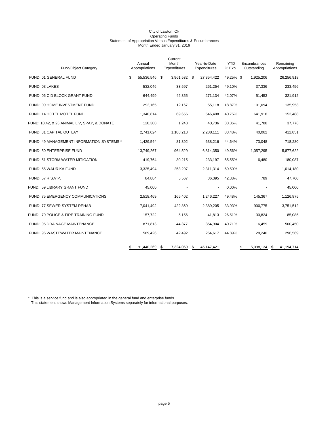| <b>Fund/Object Category</b>                  | Annual<br>Appropriations | Current<br>Month<br>Expenditures |      | Year-to-Date<br>Expenditures | <b>YTD</b><br>% Exp. | Encumbrances<br>Outstanding | Remaining<br>Appropriations |         |
|----------------------------------------------|--------------------------|----------------------------------|------|------------------------------|----------------------|-----------------------------|-----------------------------|---------|
| FUND: 01 GENERAL FUND                        | \$<br>55,536,546 \$      | 3,961,532                        | - \$ | 27,354,422                   | 49.25% \$            | 1,925,206                   | 26,256,918                  |         |
| FUND: 03 LAKES                               | 532,046                  | 33,597                           |      | 261,254                      | 49.10%               | 37,336                      |                             | 233,456 |
| FUND: 06 C D BLOCK GRANT FUND                | 644,499                  | 42,355                           |      | 271,134                      | 42.07%               | 51,453                      |                             | 321,912 |
| FUND: 09 HOME INVESTMENT FUND                | 292,165                  | 12,167                           |      | 55,118                       | 18.87%               | 101,094                     |                             | 135,953 |
| FUND: 14 HOTEL MOTEL FUND                    | 1,340,814                | 69,656                           |      | 546,408                      | 40.75%               | 641,918                     |                             | 152,488 |
| FUND: 18,42, & 23 ANIMAL LIV, SPAY, & DONATE | 120,300                  | 1,248                            |      | 40,736                       | 33.86%               | 41,788                      |                             | 37,776  |
| <b>FUND: 31 CAPITAL OUTLAY</b>               | 2,741,024                | 1,188,218                        |      | 2,288,111                    | 83.48%               | 40,062                      |                             | 412,851 |
| FUND: 49 MANAGEMENT INFORMATION SYSTEMS *    | 1,429,544                | 81.392                           |      | 638,216                      | 44.64%               | 73,048                      |                             | 718,280 |
| FUND: 50 ENTERPRISE FUND                     | 13,749,267               | 964,529                          |      | 6,814,350                    | 49.56%               | 1,057,295                   | 5,877,622                   |         |
| FUND: 51 STORM WATER MITIGATION              | 419,764                  | 30,215                           |      | 233,197                      | 55.55%               | 6,480                       |                             | 180,087 |
| FUND: 55 WAURIKA FUND                        | 3,325,494                | 253,297                          |      | 2,311,314                    | 69.50%               | $\ddot{\phantom{0}}$        | 1,014,180                   |         |
| FUND: 57 R.S.V.P.                            | 84,884                   | 5,567                            |      | 36,395                       | 42.88%               | 789                         |                             | 47,700  |
| FUND: 59 LIBRARY GRANT FUND                  | 45.000                   |                                  |      |                              | 0.00%                |                             |                             | 45,000  |
| <b>FUND: 75 EMERGENCY COMMUNICATIONS</b>     | 2,518,469                | 165,402                          |      | 1,246,227                    | 49.48%               | 145,367                     | 1,126,875                   |         |
| FUND: 77 SEWER SYSTEM REHAB                  | 7,041,492                | 422,869                          |      | 2,389,205                    | 33.93%               | 900,775                     | 3,751,512                   |         |
| FUND: 79 POLICE & FIRE TRAINING FUND         | 157,722                  | 5,156                            |      | 41,813                       | 26.51%               | 30,824                      |                             | 85,085  |
| FUND: 95 DRAINAGE MAINTENANCE                | 871,813                  | 44,377                           |      | 354,904                      | 40.71%               | 16,459                      |                             | 500,450 |
| FUND: 96 WASTEWATER MAINTENANCE              | 589,426                  | 42,492                           |      | 264,617                      | 44.89%               | 28,240                      |                             | 296,569 |
|                                              | \$<br>91,440,269         | \$<br>7,324,069                  | \$   | 45, 147, 421                 |                      | \$<br>5,098,134             | \$<br>41,194,714            |         |

\* This is a service fund and is also appropriated in the general fund and enterprise funds. This statement shows Management Information Systems separately for informational purposes.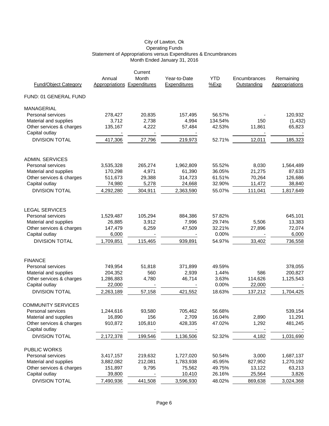|                                            |                             | Current |              |            |              |                       |
|--------------------------------------------|-----------------------------|---------|--------------|------------|--------------|-----------------------|
|                                            | Annual                      | Month   | Year-to-Date | <b>YTD</b> | Encumbrances | Remaining             |
| <b>Fund/Object Category</b>                | Appropriations Expenditures |         | Expenditures | %Exp       | Outstanding  | <b>Appropriations</b> |
| FUND: 01 GENERAL FUND                      |                             |         |              |            |              |                       |
| MANAGERIAL                                 |                             |         |              |            |              |                       |
| Personal services                          | 278,427                     | 20,835  | 157,495      | 56.57%     |              | 120,932               |
| Material and supplies                      | 3,712                       | 2,738   | 4,994        | 134.54%    | 150          | (1, 432)              |
| Other services & charges                   | 135,167                     | 4,222   | 57,484       | 42.53%     | 11,861       | 65,823                |
| Capital outlay                             |                             |         |              |            |              |                       |
| <b>DIVISION TOTAL</b>                      | 417,306                     | 27,796  | 219,973      | 52.71%     | 12,011       | 185,323               |
| <b>ADMIN. SERVICES</b>                     |                             |         |              |            |              |                       |
| Personal services                          | 3,535,328                   | 265,274 | 1,962,809    | 55.52%     | 8,030        | 1,564,489             |
| Material and supplies                      | 170,298                     | 4,971   | 61,390       | 36.05%     | 21,275       | 87,633                |
| Other services & charges                   | 511,673                     | 29,388  | 314,723      | 61.51%     | 70,264       | 126,686               |
| Capital outlay                             | 74,980                      | 5,278   | 24,668       | 32.90%     | 11,472       | 38,840                |
| <b>DIVISION TOTAL</b>                      | 4,292,280                   | 304,911 | 2,363,590    | 55.07%     | 111,041      | 1,817,649             |
|                                            |                             |         |              |            |              |                       |
| <b>LEGAL SERVICES</b>                      |                             |         |              |            |              |                       |
| Personal services                          | 1,529,487                   | 105,294 | 884,386      | 57.82%     |              | 645,101               |
| Material and supplies                      | 26,885                      | 3,912   | 7,996        | 29.74%     | 5,506        | 13,383                |
| Other services & charges                   | 147,479                     | 6,259   | 47,509       | 32.21%     | 27,896       | 72,074                |
| Capital outlay                             | 6,000                       |         |              | 0.00%      |              | 6,000                 |
| <b>DIVISION TOTAL</b>                      | 1,709,851                   | 115,465 | 939,891      | 54.97%     | 33,402       | 736,558               |
|                                            |                             |         |              |            |              |                       |
| <b>FINANCE</b>                             |                             |         |              |            |              |                       |
| Personal services                          | 749,954                     | 51,818  | 371,899      | 49.59%     |              | 378,055               |
| Material and supplies                      | 204,352                     | 560     | 2,939        | 1.44%      | 586          | 200,827               |
| Other services & charges                   | 1,286,883                   | 4,780   | 46,714       | 3.63%      | 114,626      | 1,125,543             |
| Capital outlay                             | 22,000                      |         |              | 0.00%      | 22,000       |                       |
| <b>DIVISION TOTAL</b>                      | 2,263,189                   | 57,158  | 421,552      | 18.63%     | 137,212      | 1,704,425             |
| <b>COMMUNITY SERVICES</b>                  |                             |         |              |            |              |                       |
| Personal services                          | 1,244,616                   | 93,580  | 705,462      | 56.68%     |              | 539,154               |
| Material and supplies                      | 16,890                      | 156     | 2,709        | 16.04%     | 2,890        | 11,291                |
| Other services & charges<br>Capital outlay | 910,872                     | 105,810 | 428,335      | 47.02%     | 1,292        | 481,245               |
| <b>DIVISION TOTAL</b>                      | 2,172,378                   | 199,546 | 1,136,506    | 52.32%     | 4,182        | 1,031,690             |
| PUBLIC WORKS                               |                             |         |              |            |              |                       |
| Personal services                          | 3,417,157                   | 219,632 | 1,727,020    | 50.54%     | 3,000        | 1,687,137             |
| Material and supplies                      | 3,882,082                   | 212,081 | 1,783,938    | 45.95%     | 827,952      | 1,270,192             |
| Other services & charges                   | 151,897                     | 9,795   | 75,562       | 49.75%     | 13,122       | 63,213                |
| Capital outlay                             | 39,800                      |         | 10,410       | 26.16%     | 25,564       | 3,826                 |
| <b>DIVISION TOTAL</b>                      | 7,490,936                   | 441,508 | 3,596,930    | 48.02%     | 869,638      | 3,024,368             |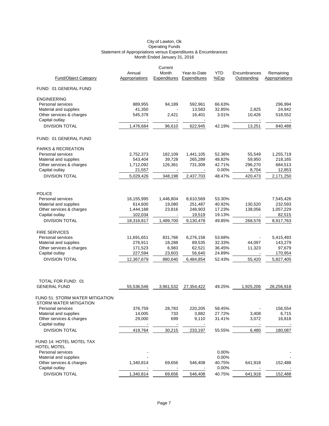|                                                |                          | Current                  |                              |                    |                             |                             |
|------------------------------------------------|--------------------------|--------------------------|------------------------------|--------------------|-----------------------------|-----------------------------|
| <b>Fund/Object Category</b>                    | Annual<br>Appropriations | Month<br>Expenditures    | Year-to-Date<br>Expenditures | <b>YTD</b><br>%Exp | Encumbrances<br>Outstanding | Remaining<br>Appropriations |
|                                                |                          |                          |                              |                    |                             |                             |
| FUND: 01 GENERAL FUND                          |                          |                          |                              |                    |                             |                             |
| <b>ENGINEERING</b>                             |                          |                          |                              |                    |                             |                             |
| Personal services                              | 889,955                  | 94.189                   | 592,961                      | 66.63%             |                             | 296,994                     |
| Material and supplies                          | 41,350                   |                          | 13,583                       | 32.85%             | 2,825                       | 24,942                      |
| Other services & charges                       | 545,379                  | 2,421                    | 16,401                       | 3.01%              | 10,426                      | 518,552                     |
| Capital outlay<br><b>DIVISION TOTAL</b>        | 1,476,684                | 96,610                   | 622,945                      | 42.19%             | 13,251                      | 840,488                     |
| FUND: 01 GENERAL FUND                          |                          |                          |                              |                    |                             |                             |
|                                                |                          |                          |                              |                    |                             |                             |
| <b>PARKS &amp; RECREATION</b>                  |                          |                          |                              |                    |                             |                             |
| Personal services<br>Material and supplies     | 2,752,373<br>543,404     | 182,109<br>39,728        | 1,441,105<br>265,289         | 52.36%<br>48.82%   | 55,549<br>59,950            | 1,255,719<br>218,165        |
| Other services & charges                       | 1,712,092                | 126,361                  | 731,309                      | 42.71%             | 296,270                     | 684,513                     |
| Capital outlay                                 | 21,557                   |                          |                              | 0.00%              | 8,704                       | 12,853                      |
| <b>DIVISION TOTAL</b>                          | 5,029,426                | 348,198                  | 2,437,703                    | 48.47%             | 420,473                     | 2,171,250                   |
|                                                |                          |                          |                              |                    |                             |                             |
| <b>POLICE</b>                                  |                          |                          |                              |                    |                             |                             |
| Personal services                              | 16,155,995               | 1,446,804                | 8,610,569                    | 53.30%             |                             | 7,545,426                   |
| Material and supplies                          | 614,600                  | 19,080                   | 251,487                      | 40.92%             | 130,520                     | 232,593                     |
| Other services & charges<br>Capital outlay     | 1,444,188<br>102,034     | 23,816                   | 248,903<br>19,519            | 17.23%<br>19.13%   | 138,056                     | 1,057,229<br>82,515         |
| <b>DIVISION TOTAL</b>                          | 18,316,817               | 1,489,700                | 9,130,478                    | 49.85%             | 268,576                     | 8,917,763                   |
|                                                |                          |                          |                              |                    |                             |                             |
| <b>FIRE SERVICES</b>                           |                          |                          |                              |                    |                             |                             |
| Personal services                              | 11,691,651               | 831,766                  | 6,276,158                    | 53.68%             |                             | 5,415,493                   |
| Material and supplies                          | 276,911                  | 18,288                   | 89,535                       | 32.33%             | 44,097                      | 143,279                     |
| Other services & charges                       | 171,523                  | 6,983                    | 62,521                       | 36.45%             | 11,323                      | 97,679                      |
| Capital outlay                                 | 227,594                  | 23,603                   | 56,640                       | 24.89%             |                             | 170,954                     |
| <b>DIVISION TOTAL</b>                          | 12,367,679               | 880,640                  | 6,484,854                    | 52.43%             | 55,420                      | 5,827,405                   |
|                                                |                          |                          |                              |                    |                             |                             |
| TOTAL FOR FUND: 01                             |                          |                          |                              |                    |                             |                             |
| <b>GENERAL FUND</b>                            | 55,536,546               | 3,961,532                | 27,354,422                   | 49.25%             | 1,925,206                   | 26,256,918                  |
| FUND 51: STORM WATER MITIGATION                |                          |                          |                              |                    |                             |                             |
| STORM WATER MITIGATION                         |                          |                          |                              |                    |                             |                             |
| Personal services                              | 376,759                  | 28,783                   | 220,205                      | 58.45%             |                             | 156,554                     |
| Material and supplies                          | 14,005                   | 733                      | 3,882                        | 27.72%             | 3,408                       | 6,715                       |
| Other services & charges                       | 29,000                   | 699                      | 9,110                        | 31.41%             | 3,072                       | 16,818                      |
| Capital outlay                                 |                          |                          |                              |                    |                             |                             |
| <b>DIVISION TOTAL</b>                          | 419,764                  | 30,215                   | 233,197                      | 55.55%             | 6,480                       | 180,087                     |
| FUND 14: HOTEL MOTEL TAX<br><b>HOTEL MOTEL</b> |                          |                          |                              |                    |                             |                             |
| Personal services                              |                          |                          |                              | 0.00%              |                             |                             |
| Material and supplies                          |                          |                          |                              | 0.00%              |                             |                             |
| Other services & charges                       | 1,340,814                | 69,656                   | 546,408                      | 40.75%             | 641,918                     | 152,488                     |
| Capital outlay                                 |                          | $\overline{\phantom{a}}$ | $\blacksquare$               | 0.00%              |                             |                             |
| <b>DIVISION TOTAL</b>                          | 1,340,814                | 69,656                   | 546,408                      | 40.75%             | 641,918                     | 152,488                     |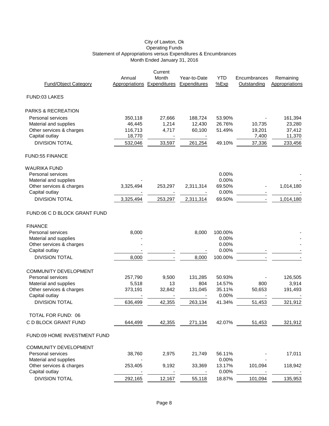#### Operating Funds Statement of Appropriations versus Expenditures & Encumbrances Month Ended January 31, 2016 City of Lawton, Ok

|                              |                | Current      |                     |            |              |                |
|------------------------------|----------------|--------------|---------------------|------------|--------------|----------------|
|                              | Annual         | Month        | Year-to-Date        | <b>YTD</b> | Encumbrances | Remaining      |
| <b>Fund/Object Category</b>  | Appropriations | Expenditures | <b>Expenditures</b> | %Exp       | Outstanding  | Appropriations |
| FUND:03 LAKES                |                |              |                     |            |              |                |
| PARKS & RECREATION           |                |              |                     |            |              |                |
| Personal services            | 350,118        | 27,666       | 188,724             | 53.90%     |              | 161,394        |
| Material and supplies        | 46,445         | 1,214        | 12,430              | 26.76%     | 10,735       | 23,280         |
| Other services & charges     | 116,713        | 4,717        | 60,100              | 51.49%     | 19,201       | 37,412         |
| Capital outlay               | 18,770         |              |                     |            | 7,400        | 11,370         |
| <b>DIVISION TOTAL</b>        | 532,046        | 33,597       | 261,254             | 49.10%     | 37,336       | 233,456        |
| <b>FUND:55 FINANCE</b>       |                |              |                     |            |              |                |
| <b>WAURIKA FUND</b>          |                |              |                     |            |              |                |
| Personal services            |                |              |                     | 0.00%      |              |                |
| Material and supplies        |                |              |                     | 0.00%      |              |                |
| Other services & charges     | 3,325,494      | 253,297      | 2,311,314           | 69.50%     |              | 1,014,180      |
| Capital outlay               |                |              |                     | 0.00%      |              |                |
| <b>DIVISION TOTAL</b>        | 3,325,494      | 253,297      | 2,311,314           | 69.50%     |              | 1,014,180      |
| FUND:06 C D BLOCK GRANT FUND |                |              |                     |            |              |                |
| <b>FINANCE</b>               |                |              |                     |            |              |                |
| Personal services            | 8,000          |              | 8,000               | 100.00%    |              |                |
| Material and supplies        |                |              |                     | 0.00%      |              |                |
| Other services & charges     |                |              |                     | 0.00%      |              |                |
| Capital outlay               |                |              |                     | 0.00%      |              |                |
| <b>DIVISION TOTAL</b>        | 8,000          |              | 8,000               | 100.00%    |              |                |
| <b>COMMUNITY DEVELOPMENT</b> |                |              |                     |            |              |                |
| Personal services            | 257,790        | 9,500        | 131,285             | 50.93%     |              | 126,505        |
| Material and supplies        | 5,518          | 13           | 804                 | 14.57%     | 800          | 3,914          |
| Other services & charges     | 373,191        | 32,842       | 131,045             | 35.11%     | 50,653       | 191,493        |
| Capital outlay               |                |              |                     | 0.00%      |              |                |
| <b>DIVISION TOTAL</b>        | 636,499        | 42,355       | 263,134             | 41.34%     | 51,453       | 321,912        |
| TOTAL FOR FUND: 06           |                |              |                     |            |              |                |
| C D BLOCK GRANT FUND         | 644,499        | 42,355       | 271,134             | 42.07%     | 51,453       | 321,912        |
| FUND:09 HOME INVESTMENT FUND |                |              |                     |            |              |                |
| <b>COMMUNITY DEVELOPMENT</b> |                |              |                     |            |              |                |
| Personal services            | 38,760         | 2,975        | 21,749              | 56.11%     |              | 17,011         |
| Material and supplies        |                |              |                     | 0.00%      |              |                |
| Other services & charges     | 253,405        | 9,192        | 33,369              | 13.17%     | 101,094      | 118,942        |
| Capital outlay               |                |              |                     | 0.00%      |              |                |
| <b>DIVISION TOTAL</b>        | 292,165        | 12,167       | 55,118              | 18.87%     | 101,094      | 135,953        |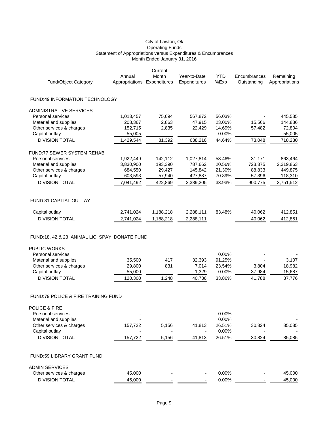| Annual    | Month                                                                                                                                                                                                                                                                         | Year-to-Date                                                                                                                                                                                                                    | <b>YTD</b>                                                                                                                                                                         | Encumbrances                                                                                                                                                                                           | Remaining                                                                                                                                      |
|-----------|-------------------------------------------------------------------------------------------------------------------------------------------------------------------------------------------------------------------------------------------------------------------------------|---------------------------------------------------------------------------------------------------------------------------------------------------------------------------------------------------------------------------------|------------------------------------------------------------------------------------------------------------------------------------------------------------------------------------|--------------------------------------------------------------------------------------------------------------------------------------------------------------------------------------------------------|------------------------------------------------------------------------------------------------------------------------------------------------|
|           |                                                                                                                                                                                                                                                                               |                                                                                                                                                                                                                                 |                                                                                                                                                                                    |                                                                                                                                                                                                        | Appropriations                                                                                                                                 |
|           |                                                                                                                                                                                                                                                                               |                                                                                                                                                                                                                                 |                                                                                                                                                                                    |                                                                                                                                                                                                        |                                                                                                                                                |
|           |                                                                                                                                                                                                                                                                               |                                                                                                                                                                                                                                 |                                                                                                                                                                                    |                                                                                                                                                                                                        |                                                                                                                                                |
|           |                                                                                                                                                                                                                                                                               |                                                                                                                                                                                                                                 |                                                                                                                                                                                    |                                                                                                                                                                                                        | 445,585                                                                                                                                        |
|           |                                                                                                                                                                                                                                                                               |                                                                                                                                                                                                                                 |                                                                                                                                                                                    |                                                                                                                                                                                                        | 144,886                                                                                                                                        |
|           |                                                                                                                                                                                                                                                                               |                                                                                                                                                                                                                                 |                                                                                                                                                                                    |                                                                                                                                                                                                        | 72,804                                                                                                                                         |
|           |                                                                                                                                                                                                                                                                               |                                                                                                                                                                                                                                 |                                                                                                                                                                                    |                                                                                                                                                                                                        | 55,005                                                                                                                                         |
|           |                                                                                                                                                                                                                                                                               |                                                                                                                                                                                                                                 |                                                                                                                                                                                    |                                                                                                                                                                                                        | 718,280                                                                                                                                        |
|           |                                                                                                                                                                                                                                                                               |                                                                                                                                                                                                                                 |                                                                                                                                                                                    |                                                                                                                                                                                                        |                                                                                                                                                |
|           |                                                                                                                                                                                                                                                                               |                                                                                                                                                                                                                                 |                                                                                                                                                                                    |                                                                                                                                                                                                        | 863,464                                                                                                                                        |
|           |                                                                                                                                                                                                                                                                               |                                                                                                                                                                                                                                 |                                                                                                                                                                                    |                                                                                                                                                                                                        | 2,319,863                                                                                                                                      |
|           |                                                                                                                                                                                                                                                                               |                                                                                                                                                                                                                                 |                                                                                                                                                                                    |                                                                                                                                                                                                        | 449,875                                                                                                                                        |
|           |                                                                                                                                                                                                                                                                               |                                                                                                                                                                                                                                 |                                                                                                                                                                                    |                                                                                                                                                                                                        | 118,310                                                                                                                                        |
|           |                                                                                                                                                                                                                                                                               |                                                                                                                                                                                                                                 |                                                                                                                                                                                    |                                                                                                                                                                                                        | 3,751,512                                                                                                                                      |
|           |                                                                                                                                                                                                                                                                               |                                                                                                                                                                                                                                 |                                                                                                                                                                                    |                                                                                                                                                                                                        |                                                                                                                                                |
| 2,741,024 | 1,188,218                                                                                                                                                                                                                                                                     | 2,288,111                                                                                                                                                                                                                       | 83.48%                                                                                                                                                                             | 40,062                                                                                                                                                                                                 | 412,851                                                                                                                                        |
| 2,741,024 | 1,188,218                                                                                                                                                                                                                                                                     | 2,288,111                                                                                                                                                                                                                       |                                                                                                                                                                                    | 40,062                                                                                                                                                                                                 | 412,851                                                                                                                                        |
|           |                                                                                                                                                                                                                                                                               |                                                                                                                                                                                                                                 |                                                                                                                                                                                    |                                                                                                                                                                                                        |                                                                                                                                                |
|           |                                                                                                                                                                                                                                                                               |                                                                                                                                                                                                                                 |                                                                                                                                                                                    |                                                                                                                                                                                                        |                                                                                                                                                |
|           |                                                                                                                                                                                                                                                                               |                                                                                                                                                                                                                                 |                                                                                                                                                                                    |                                                                                                                                                                                                        |                                                                                                                                                |
|           |                                                                                                                                                                                                                                                                               |                                                                                                                                                                                                                                 |                                                                                                                                                                                    |                                                                                                                                                                                                        | 3,107                                                                                                                                          |
|           |                                                                                                                                                                                                                                                                               |                                                                                                                                                                                                                                 |                                                                                                                                                                                    |                                                                                                                                                                                                        | 18,982                                                                                                                                         |
|           |                                                                                                                                                                                                                                                                               |                                                                                                                                                                                                                                 |                                                                                                                                                                                    |                                                                                                                                                                                                        | 15,687                                                                                                                                         |
|           |                                                                                                                                                                                                                                                                               |                                                                                                                                                                                                                                 |                                                                                                                                                                                    |                                                                                                                                                                                                        | 37,776                                                                                                                                         |
|           |                                                                                                                                                                                                                                                                               |                                                                                                                                                                                                                                 |                                                                                                                                                                                    |                                                                                                                                                                                                        |                                                                                                                                                |
|           |                                                                                                                                                                                                                                                                               |                                                                                                                                                                                                                                 |                                                                                                                                                                                    |                                                                                                                                                                                                        |                                                                                                                                                |
|           |                                                                                                                                                                                                                                                                               |                                                                                                                                                                                                                                 | 0.00%                                                                                                                                                                              |                                                                                                                                                                                                        |                                                                                                                                                |
|           |                                                                                                                                                                                                                                                                               |                                                                                                                                                                                                                                 |                                                                                                                                                                                    |                                                                                                                                                                                                        |                                                                                                                                                |
|           |                                                                                                                                                                                                                                                                               |                                                                                                                                                                                                                                 |                                                                                                                                                                                    |                                                                                                                                                                                                        | 85,085                                                                                                                                         |
|           |                                                                                                                                                                                                                                                                               |                                                                                                                                                                                                                                 |                                                                                                                                                                                    |                                                                                                                                                                                                        |                                                                                                                                                |
|           |                                                                                                                                                                                                                                                                               |                                                                                                                                                                                                                                 |                                                                                                                                                                                    |                                                                                                                                                                                                        | 85,085                                                                                                                                         |
|           |                                                                                                                                                                                                                                                                               |                                                                                                                                                                                                                                 |                                                                                                                                                                                    |                                                                                                                                                                                                        |                                                                                                                                                |
|           |                                                                                                                                                                                                                                                                               |                                                                                                                                                                                                                                 |                                                                                                                                                                                    |                                                                                                                                                                                                        |                                                                                                                                                |
| 45,000    |                                                                                                                                                                                                                                                                               |                                                                                                                                                                                                                                 | 0.00%                                                                                                                                                                              |                                                                                                                                                                                                        | 45,000                                                                                                                                         |
| 45,000    |                                                                                                                                                                                                                                                                               |                                                                                                                                                                                                                                 |                                                                                                                                                                                    |                                                                                                                                                                                                        | 45,000                                                                                                                                         |
|           | <b>FUND:49 INFORMATION TECHNOLOGY</b><br>1,013,457<br>208,367<br>152,715<br>55,005<br>1,429,544<br>1,922,449<br>3,830,900<br>684,550<br>603,593<br>7,041,492<br>35,500<br>29,800<br>55,000<br>120,300<br><b>FUND:79 POLICE &amp; FIRE TRAINING FUND</b><br>157,722<br>157,722 | Current<br>Appropriations<br>Expenditures<br>75,694<br>2,863<br>2,835<br>81,392<br>142,112<br>193,390<br>29,427<br>57,940<br>422,869<br>FUND:18, 42,& 23 ANIMAL LIC, SPAY, DONATE FUND<br>417<br>831<br>1,248<br>5,156<br>5,156 | <b>Expenditures</b><br>567,872<br>47,915<br>22,429<br>638,216<br>1,027,814<br>787,662<br>145,842<br>427,887<br>2,389,205<br>32,393<br>7,014<br>1,329<br>40,736<br>41,813<br>41,813 | %Exp<br>56.03%<br>23.00%<br>14.69%<br>0.00%<br>44.64%<br>53.46%<br>20.56%<br>21.30%<br>70.89%<br>33.93%<br>0.00%<br>91.25%<br>23.54%<br>0.00%<br>33.86%<br>0.00%<br>26.51%<br>0.00%<br>26.51%<br>0.00% | Outstanding<br>15,566<br>57,482<br>73,048<br>31,171<br>723,375<br>88,833<br>57,396<br>900.775<br>3,804<br>37,984<br>41,788<br>30,824<br>30,824 |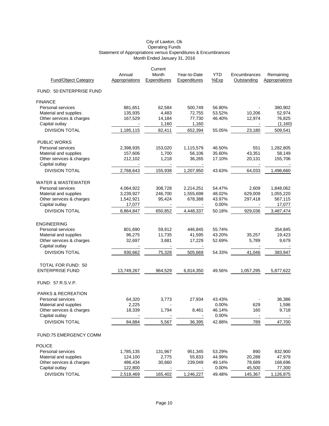|                             |                          | Current                  |                              |                    |                             |                             |
|-----------------------------|--------------------------|--------------------------|------------------------------|--------------------|-----------------------------|-----------------------------|
| <b>Fund/Object Category</b> | Annual<br>Appropriations | Month<br>Expenditures    | Year-to-Date<br>Expenditures | <b>YTD</b><br>%Exp | Encumbrances<br>Outstanding | Remaining<br>Appropriations |
|                             |                          |                          |                              |                    |                             |                             |
| FUND: 50 ENTERPRISE FUND    |                          |                          |                              |                    |                             |                             |
| <b>FINANCE</b>              |                          |                          |                              |                    |                             |                             |
| Personal services           | 881,651                  | 62,584                   | 500,749                      | 56.80%             |                             | 380,902                     |
| Material and supplies       | 135,935                  | 4,483                    | 72,755                       | 53.52%             | 10,206                      | 52,974                      |
| Other services & charges    | 167,529                  | 14,184                   | 77,730                       | 46.40%             | 12,974                      | 76,825                      |
| Capital outlay              |                          | 1,160                    | 1,160                        |                    |                             | (1, 160)                    |
| <b>DIVISION TOTAL</b>       | 1,185,115                | 82,411                   | 652,394                      | 55.05%             | 23,180                      | 509,541                     |
| <b>PUBLIC WORKS</b>         |                          |                          |                              |                    |                             |                             |
| Personal services           | 2,398,935                | 153,020                  | 1,115,579                    | 46.50%             | 551                         | 1,282,805                   |
| Material and supplies       | 157,606                  | 1,700                    | 56,106                       | 35.60%             | 43,351                      | 58,149                      |
| Other services & charges    | 212,102                  | 1,218                    | 36,265                       | 17.10%             | 20,131                      | 155,706                     |
| Capital outlay              |                          |                          |                              |                    |                             |                             |
| <b>DIVISION TOTAL</b>       | 2,768,643                | 155,938                  | 1,207,950                    | 43.63%             | 64,033                      | 1,496,660                   |
|                             |                          |                          |                              |                    |                             |                             |
| WATER & WASTEWATER          |                          |                          |                              |                    |                             |                             |
| Personal services           | 4,064,922                | 308,728                  | 2,214,251                    | 54.47%             | 2,609                       | 1,848,062                   |
| Material and supplies       | 3,239,927                | 246,700                  | 1,555,698                    | 48.02%             | 629,009                     | 1,055,220                   |
| Other services & charges    | 1,542,921                | 95,424                   | 678,388                      | 43.97%             | 297,418                     | 567,115                     |
| Capital outlay              | 17,077                   | $\overline{\phantom{a}}$ |                              | 0.00%              |                             | 17,077                      |
| <b>DIVISION TOTAL</b>       | 8,864,847                | 650,852                  | 4,448,337                    | 50.18%             | 929,036                     | 3,487,474                   |
| <b>ENGINEERING</b>          |                          |                          |                              |                    |                             |                             |
| Personal services           | 801,690                  | 59,912                   | 446,845                      | 55.74%             |                             | 354,845                     |
| Material and supplies       | 96,275                   | 11,735                   | 41,595                       | 43.20%             | 35,257                      | 19,423                      |
| Other services & charges    | 32,697                   | 3,681                    | 17,229                       | 52.69%             | 5,789                       | 9,679                       |
| Capital outlay              |                          |                          |                              |                    |                             |                             |
| <b>DIVISION TOTAL</b>       | 930,662                  | 75,328                   | 505,669                      | 54.33%             | 41,046                      | 383,947                     |
| TOTAL FOR FUND: 50          |                          |                          |                              |                    |                             |                             |
| <b>ENTERPRISE FUND</b>      | 13,749,267               | 964,529                  | 6,814,350                    | 49.56%             | 1,057,295                   | 5,877,622                   |
|                             |                          |                          |                              |                    |                             |                             |
| FUND: 57 R.S.V.P.           |                          |                          |                              |                    |                             |                             |
| PARKS & RECREATION          |                          |                          |                              |                    |                             |                             |
| Personal services           | 64,320                   | 3,773                    | 27,934                       | 43.43%             |                             | 36,386                      |
| Material and supplies       | 2,225                    |                          |                              | 0.00%              | 629                         | 1,596                       |
| Other services & charges    | 18,339                   | 1,794                    | 8,461                        | 46.14%             | 160                         | 9,718                       |
| Capital outlay              |                          |                          |                              | 0.00%              |                             |                             |
| <b>DIVISION TOTAL</b>       | 84,884                   | 5,567                    | 36,395                       | 42.88%             | 789                         | 47,700                      |
| FUND:75 EMERGENCY COMM      |                          |                          |                              |                    |                             |                             |
| <b>POLICE</b>               |                          |                          |                              |                    |                             |                             |
| Personal services           | 1,785,135                | 131,967                  | 951,345                      | 53.29%             | 890                         | 832,900                     |
| Material and supplies       | 124,100                  | 2,775                    | 55,833                       | 44.99%             | 20,288                      | 47,979                      |
| Other services & charges    | 486,434                  | 30,660                   | 239,049                      | 49.14%             | 78,689                      | 168,696                     |
| Capital outlay              | 122,800                  |                          |                              | 0.00%              | 45,500                      | 77,300                      |
| <b>DIVISION TOTAL</b>       | 2,518,469                | 165,402                  | 1,246,227                    | 49.48%             | 145,367                     | 1,126,875                   |